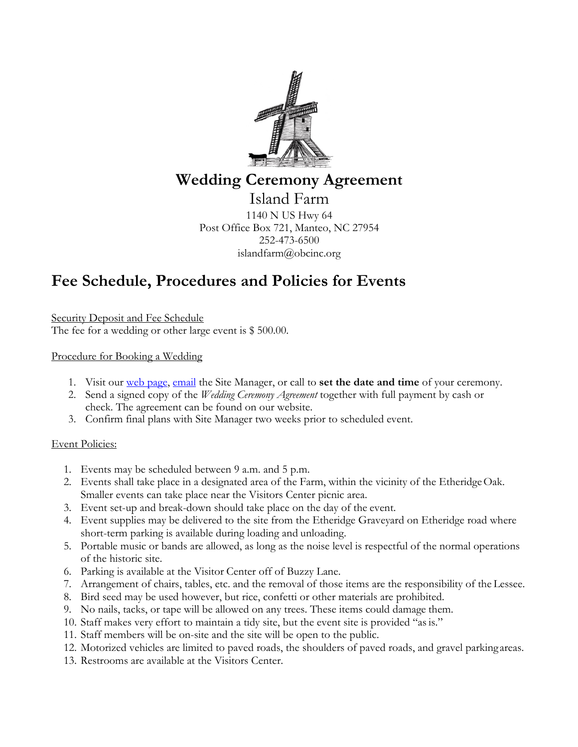

### **Wedding Ceremony Agreement**

Island Farm 1140 N US Hwy 64 Post Office Box 721, Manteo, NC 27954 252-473-6500 islandfarm@obcinc.org

## **Fee Schedule, Procedures and Policies for Events**

Security Deposit and Fee Schedule The fee for a wedding or other large event is \$ 500.00.

### Procedure for Booking a Wedding

- 1. Visit our web page, email the Site Manager, or call to **set the date and time** of your ceremony.
- 2. Send a signed copy of the *Wedding Ceremony Agreement* together with full payment by cash or check. The agreement can be found on our website.
- 3. Confirm final plans with Site Manager two weeks prior to scheduled event.

#### Event Policies:

- 1. Events may be scheduled between 9 a.m. and 5 p.m.
- 2. Events shall take place in a designated area of the Farm, within the vicinity of the EtheridgeOak. Smaller events can take place near the Visitors Center picnic area.
- 3. Event set-up and break-down should take place on the day of the event.
- 4. Event supplies may be delivered to the site from the Etheridge Graveyard on Etheridge road where short-term parking is available during loading and unloading.
- 5. Portable music or bands are allowed, as long as the noise level is respectful of the normal operations of the historic site.
- 6. Parking is available at the Visitor Center off of Buzzy Lane.
- 7. Arrangement of chairs, tables, etc. and the removal of those items are the responsibility of the Lessee.
- 8. Bird seed may be used however, but rice, confetti or other materials are prohibited.
- 9. No nails, tacks, or tape will be allowed on any trees. These items could damage them.
- 10. Staff makes very effort to maintain a tidy site, but the event site is provided "asis."
- 11. Staff members will be on-site and the site will be open to the public.
- 12. Motorized vehicles are limited to paved roads, the shoulders of paved roads, and gravel parkingareas.
- 13. Restrooms are available at the Visitors Center.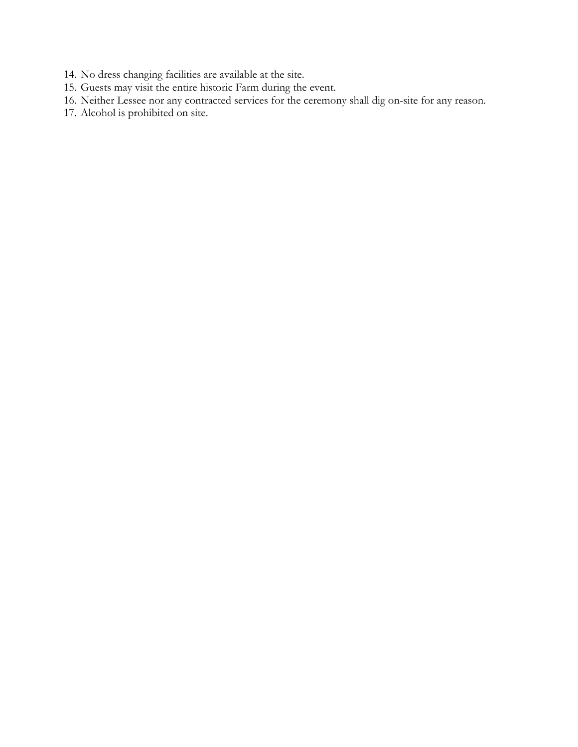- 14. No dress changing facilities are available at the site.
- 15. Guests may visit the entire historic Farm during the event.
- 16. Neither Lessee nor any contracted services for the ceremony shall dig on-site for any reason.
- 17. Alcohol is prohibited on site.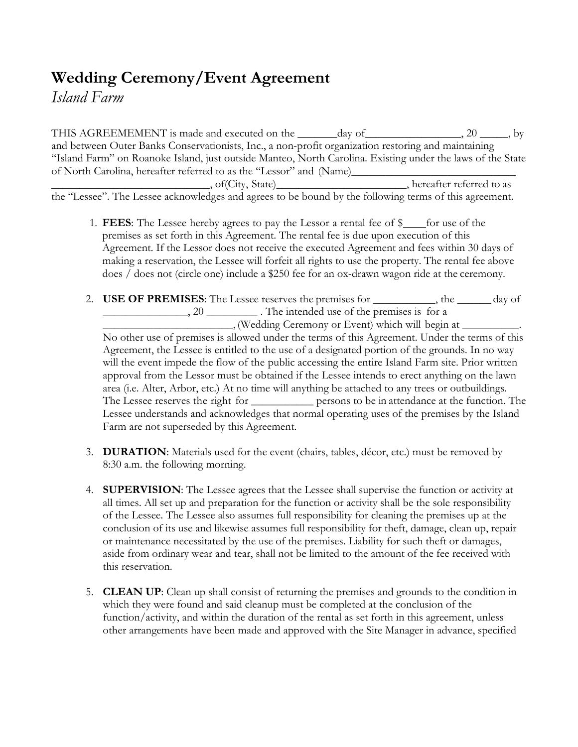# **Wedding Ceremony/Event Agreement**

*Island Farm*

THIS AGREEMEMENT is made and executed on the \_\_\_\_\_\_day of \_\_\_\_\_\_\_\_\_\_\_\_\_\_\_\_, 20 \_\_\_\_\_, by and between Outer Banks Conservationists, Inc., a non-profit organization restoring and maintaining "Island Farm" on Roanoke Island, just outside Manteo, North Carolina. Existing under the laws of the State of North Carolina, hereafter referred to as the "Lessor" and (Name)\_\_\_\_\_\_\_\_\_\_\_\_\_\_ \_, of(City, State)\_\_\_\_\_\_\_\_\_\_\_\_\_\_\_\_\_\_\_\_\_\_\_\_\_\_\_, hereafter referred to as

the "Lessee". The Lessee acknowledges and agrees to be bound by the following terms of this agreement.

- 1. **FEES**: The Lessee hereby agrees to pay the Lessor a rental fee of \$\_\_\_\_for use of the premises as set forth in this Agreement. The rental fee is due upon execution of this Agreement. If the Lessor does not receive the executed Agreement and fees within 30 days of making a reservation, the Lessee will forfeit all rights to use the property. The rental fee above does / does not (circle one) include a \$250 fee for an ox-drawn wagon ride at the ceremony.
- 2. **USE OF PREMISES**: The Lessee reserves the premises for \_\_\_\_\_\_\_\_\_\_\_, the \_\_\_\_\_\_ day of 20 \_\_\_\_\_\_\_\_\_\_\_. The intended use of the premises is for a \_\_\_\_\_\_\_\_\_\_\_\_\_\_\_\_\_\_\_\_\_\_\_, (Wedding Ceremony or Event) which will begin at \_\_\_\_\_\_\_\_\_\_. No other use of premises is allowed under the terms of this Agreement. Under the terms of this Agreement, the Lessee is entitled to the use of a designated portion of the grounds. In no way will the event impede the flow of the public accessing the entire Island Farm site. Prior written approval from the Lessor must be obtained if the Lessee intends to erect anything on the lawn area (i.e. Alter, Arbor, etc.) At no time will anything be attached to any trees or outbuildings. The Lessee reserves the right for <u>equal persons</u> to be in attendance at the function. The Lessee understands and acknowledges that normal operating uses of the premises by the Island Farm are not superseded by this Agreement.
- 3. **DURATION**: Materials used for the event (chairs, tables, décor, etc.) must be removed by 8:30 a.m. the following morning.
- 4. **SUPERVISION**: The Lessee agrees that the Lessee shall supervise the function or activity at all times. All set up and preparation for the function or activity shall be the sole responsibility of the Lessee. The Lessee also assumes full responsibility for cleaning the premises up at the conclusion of its use and likewise assumes full responsibility for theft, damage, clean up, repair or maintenance necessitated by the use of the premises. Liability for such theft or damages, aside from ordinary wear and tear, shall not be limited to the amount of the fee received with this reservation.
- 5. **CLEAN UP**: Clean up shall consist of returning the premises and grounds to the condition in which they were found and said cleanup must be completed at the conclusion of the function/activity, and within the duration of the rental as set forth in this agreement, unless other arrangements have been made and approved with the Site Manager in advance, specified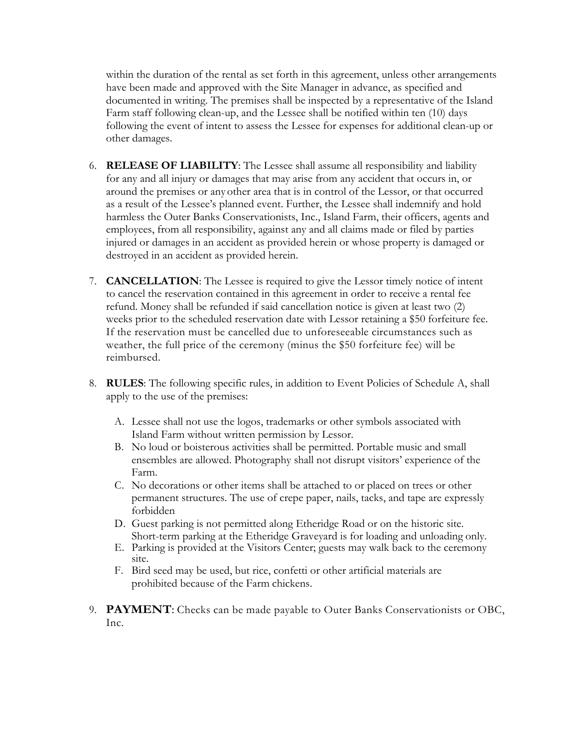within the duration of the rental as set forth in this agreement, unless other arrangements have been made and approved with the Site Manager in advance, as specified and documented in writing. The premises shall be inspected by a representative of the Island Farm staff following clean-up, and the Lessee shall be notified within ten (10) days following the event of intent to assess the Lessee for expenses for additional clean-up or other damages.

- 6. **RELEASE OF LIABILITY**: The Lessee shall assume all responsibility and liability for any and all injury or damages that may arise from any accident that occurs in, or around the premises or any other area that is in control of the Lessor, or that occurred as a result of the Lessee's planned event. Further, the Lessee shall indemnify and hold harmless the Outer Banks Conservationists, Inc., Island Farm, their officers, agents and employees, from all responsibility, against any and all claims made or filed by parties injured or damages in an accident as provided herein or whose property is damaged or destroyed in an accident as provided herein.
- 7. **CANCELLATION**: The Lessee is required to give the Lessor timely notice of intent to cancel the reservation contained in this agreement in order to receive a rental fee refund. Money shall be refunded if said cancellation notice is given at least two (2) weeks prior to the scheduled reservation date with Lessor retaining a \$50 forfeiture fee. If the reservation must be cancelled due to unforeseeable circumstances such as weather, the full price of the ceremony (minus the \$50 forfeiture fee) will be reimbursed.
- 8. **RULES**: The following specific rules, in addition to Event Policies of Schedule A, shall apply to the use of the premises:
	- A. Lessee shall not use the logos, trademarks or other symbols associated with Island Farm without written permission by Lessor.
	- B. No loud or boisterous activities shall be permitted. Portable music and small ensembles are allowed. Photography shall not disrupt visitors' experience of the Farm.
	- C. No decorations or other items shall be attached to or placed on trees or other permanent structures. The use of crepe paper, nails, tacks, and tape are expressly forbidden
	- D. Guest parking is not permitted along Etheridge Road or on the historic site. Short-term parking at the Etheridge Graveyard is for loading and unloading only.
	- E. Parking is provided at the Visitors Center; guests may walk back to the ceremony site.
	- F. Bird seed may be used, but rice, confetti or other artificial materials are prohibited because of the Farm chickens.
- 9. **PAYMENT**: Checks can be made payable to Outer Banks Conservationists or OBC, Inc.